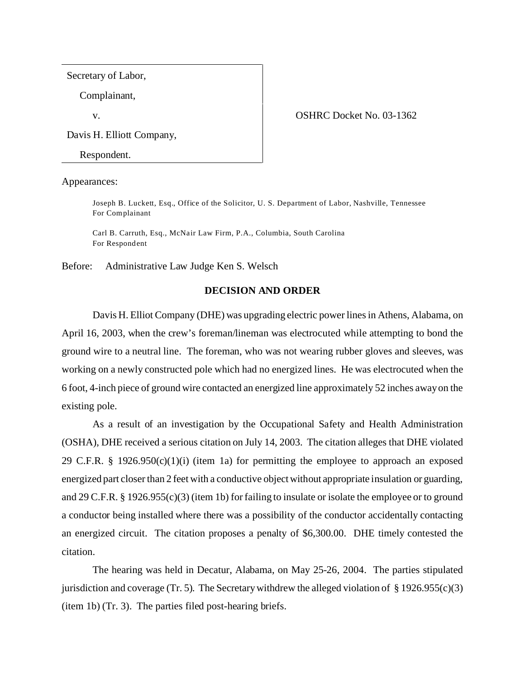Secretary of Labor,

Complainant,

Davis H. Elliott Company,

Respondent.

Appearances:

Joseph B. Luckett, Esq., Office of the Solicitor, U. S. Department of Labor, Nashville, Tennessee For Complainant

Carl B. Carruth, Esq., McNair Law Firm, P.A., Columbia, South Carolina For Respondent

Before: Administrative Law Judge Ken S. Welsch

## **DECISION AND ORDER**

Davis H. Elliot Company (DHE) was upgrading electric power lines in Athens, Alabama, on April 16, 2003, when the crew's foreman/lineman was electrocuted while attempting to bond the ground wire to a neutral line. The foreman, who was not wearing rubber gloves and sleeves, was working on a newly constructed pole which had no energized lines. He was electrocuted when the 6 foot, 4-inch piece of ground wire contacted an energized line approximately 52 inches away on the existing pole.

As a result of an investigation by the Occupational Safety and Health Administration (OSHA), DHE received a serious citation on July 14, 2003. The citation alleges that DHE violated 29 C.F.R. § 1926.950(c)(1)(i) (item 1a) for permitting the employee to approach an exposed energized part closer than 2 feet with a conductive object without appropriate insulation or guarding, and 29 C.F.R. § 1926.955(c)(3) (item 1b) for failing to insulate or isolate the employee or to ground a conductor being installed where there was a possibility of the conductor accidentally contacting an energized circuit. The citation proposes a penalty of \$6,300.00. DHE timely contested the citation.

The hearing was held in Decatur, Alabama, on May 25-26, 2004. The parties stipulated jurisdiction and coverage (Tr. 5). The Secretary withdrew the alleged violation of  $\S 1926.955(c)(3)$ (item 1b) (Tr. 3). The parties filed post-hearing briefs.

v. COSHRC Docket No. 03-1362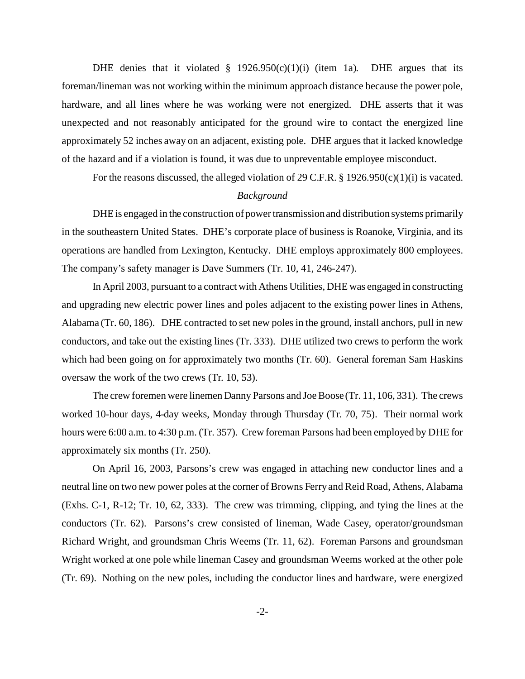DHE denies that it violated  $\S$  1926.950(c)(1)(i) (item 1a). DHE argues that its foreman/lineman was not working within the minimum approach distance because the power pole, hardware, and all lines where he was working were not energized. DHE asserts that it was unexpected and not reasonably anticipated for the ground wire to contact the energized line approximately 52 inches away on an adjacent, existing pole. DHE argues that it lacked knowledge of the hazard and if a violation is found, it was due to unpreventable employee misconduct.

For the reasons discussed, the alleged violation of 29 C.F.R. § 1926.950(c)(1)(i) is vacated.

### *Background*

DHE is engaged in the construction of power transmission and distribution systems primarily in the southeastern United States. DHE's corporate place of business is Roanoke, Virginia, and its operations are handled from Lexington, Kentucky. DHE employs approximately 800 employees. The company's safety manager is Dave Summers (Tr. 10, 41, 246-247).

In April 2003, pursuant to a contract with Athens Utilities, DHE was engaged in constructing and upgrading new electric power lines and poles adjacent to the existing power lines in Athens, Alabama (Tr. 60, 186). DHE contracted to set new poles in the ground, install anchors, pull in new conductors, and take out the existing lines (Tr. 333). DHE utilized two crews to perform the work which had been going on for approximately two months (Tr. 60). General foreman Sam Haskins oversaw the work of the two crews (Tr. 10, 53).

The crew foremen were linemen Danny Parsons and Joe Boose (Tr. 11, 106, 331). The crews worked 10-hour days, 4-day weeks, Monday through Thursday (Tr. 70, 75). Their normal work hours were 6:00 a.m. to 4:30 p.m. (Tr. 357). Crew foreman Parsons had been employed by DHE for approximately six months (Tr. 250).

On April 16, 2003, Parsons's crew was engaged in attaching new conductor lines and a neutral line on two new power poles at the corner of Browns Ferry and Reid Road, Athens, Alabama (Exhs. C-1, R-12; Tr. 10, 62, 333). The crew was trimming, clipping, and tying the lines at the conductors (Tr. 62). Parsons's crew consisted of lineman, Wade Casey, operator/groundsman Richard Wright, and groundsman Chris Weems (Tr. 11, 62). Foreman Parsons and groundsman Wright worked at one pole while lineman Casey and groundsman Weems worked at the other pole (Tr. 69). Nothing on the new poles, including the conductor lines and hardware, were energized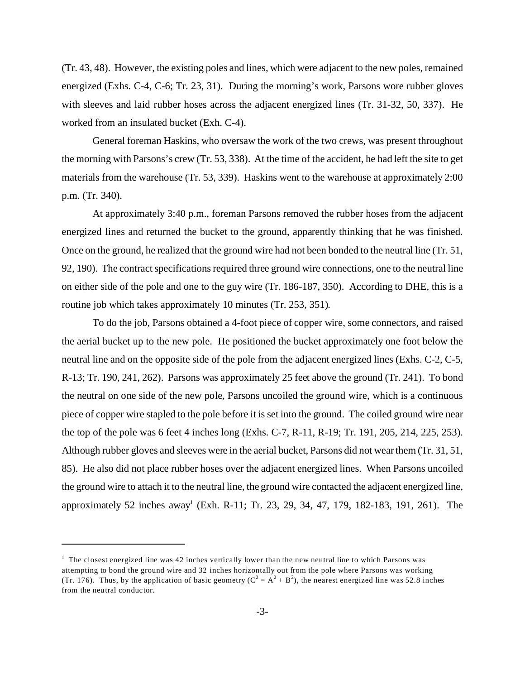(Tr. 43, 48). However, the existing poles and lines, which were adjacent to the new poles, remained energized (Exhs. C-4, C-6; Tr. 23, 31). During the morning's work, Parsons wore rubber gloves with sleeves and laid rubber hoses across the adjacent energized lines (Tr. 31-32, 50, 337). He worked from an insulated bucket (Exh. C-4).

General foreman Haskins, who oversaw the work of the two crews, was present throughout the morning with Parsons's crew (Tr. 53, 338). At the time of the accident, he had left the site to get materials from the warehouse (Tr. 53, 339). Haskins went to the warehouse at approximately 2:00 p.m. (Tr. 340).

At approximately 3:40 p.m., foreman Parsons removed the rubber hoses from the adjacent energized lines and returned the bucket to the ground, apparently thinking that he was finished. Once on the ground, he realized that the ground wire had not been bonded to the neutral line (Tr. 51, 92, 190). The contract specifications required three ground wire connections, one to the neutral line on either side of the pole and one to the guy wire (Tr. 186-187, 350). According to DHE, this is a routine job which takes approximately 10 minutes (Tr. 253, 351).

To do the job, Parsons obtained a 4-foot piece of copper wire, some connectors, and raised the aerial bucket up to the new pole. He positioned the bucket approximately one foot below the neutral line and on the opposite side of the pole from the adjacent energized lines (Exhs. C-2, C-5, R-13; Tr. 190, 241, 262). Parsons was approximately 25 feet above the ground (Tr. 241). To bond the neutral on one side of the new pole, Parsons uncoiled the ground wire, which is a continuous piece of copper wire stapled to the pole before it is set into the ground. The coiled ground wire near the top of the pole was 6 feet 4 inches long (Exhs. C-7, R-11, R-19; Tr. 191, 205, 214, 225, 253). Although rubber gloves and sleeves were in the aerial bucket, Parsons did not wear them (Tr. 31, 51, 85). He also did not place rubber hoses over the adjacent energized lines. When Parsons uncoiled the ground wire to attach it to the neutral line, the ground wire contacted the adjacent energized line, approximately 52 inches away<sup>1</sup> (Exh. R-11; Tr. 23, 29, 34, 47, 179, 182-183, 191, 261). The

 $<sup>1</sup>$  The closest energized line was 42 inches vertically lower than the new neutral line to which Parsons was</sup> attempting to bond the ground wire and 32 inches horizontally out from the pole where Parsons was working (Tr. 176). Thus, by the application of basic geometry ( $C^2 = A^2 + B^2$ ), the nearest energized line was 52.8 inches from the neutral conductor.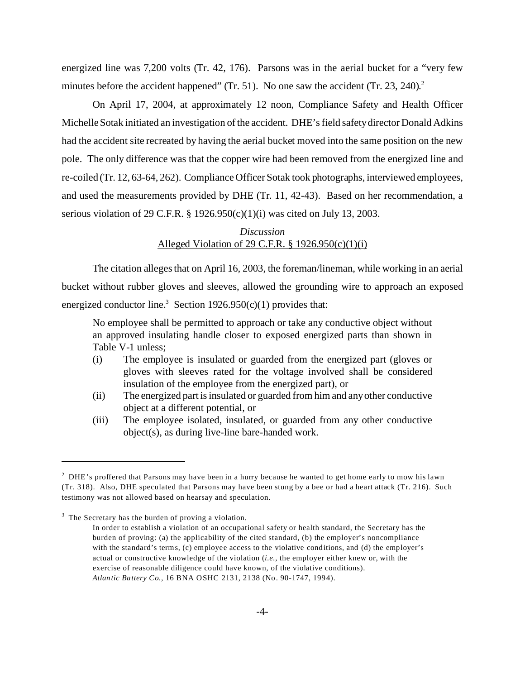energized line was 7,200 volts (Tr. 42, 176). Parsons was in the aerial bucket for a "very few minutes before the accident happened" (Tr. 51). No one saw the accident (Tr. 23, 240).<sup>2</sup>

On April 17, 2004, at approximately 12 noon, Compliance Safety and Health Officer Michelle Sotak initiated an investigation of the accident. DHE's field safety director Donald Adkins had the accident site recreated by having the aerial bucket moved into the same position on the new pole. The only difference was that the copper wire had been removed from the energized line and re-coiled (Tr. 12, 63-64, 262). Compliance Officer Sotak took photographs, interviewed employees, and used the measurements provided by DHE (Tr. 11, 42-43). Based on her recommendation, a serious violation of 29 C.F.R. § 1926.950(c)(1)(i) was cited on July 13, 2003.

## *Discussion* Alleged Violation of 29 C.F.R. § 1926.950(c)(1)(i)

The citation alleges that on April 16, 2003, the foreman/lineman, while working in an aerial bucket without rubber gloves and sleeves, allowed the grounding wire to approach an exposed energized conductor line.<sup>3</sup> Section  $1926.950(c)(1)$  provides that:

No employee shall be permitted to approach or take any conductive object without an approved insulating handle closer to exposed energized parts than shown in Table V-1 unless;

- (i) The employee is insulated or guarded from the energized part (gloves or gloves with sleeves rated for the voltage involved shall be considered insulation of the employee from the energized part), or
- (ii) The energized part is insulated or guarded from him and any other conductive object at a different potential, or
- (iii) The employee isolated, insulated, or guarded from any other conductive object(s), as during live-line bare-handed work.

 $2$  DHE's proffered that Parsons may have been in a hurry because he wanted to get home early to mow his lawn (Tr. 318). Also, DHE speculated that Parsons may have been stung by a bee or had a heart attack (Tr. 216). Such testimony was not allowed based on hearsay and speculation.

 $3$  The Secretary has the burden of proving a violation.

In order to establish a violation of an occupational safety or health standard, the Secretary has the burden of proving: (a) the applicability of the cited standard, (b) the employer's noncompliance with the standard's terms, (c) employee access to the violative conditions, and (d) the employer's actual or constructive knowledge of the violation (*i.e.,* the employer either knew or, with the exercise of reasonable diligence could have known, of the violative conditions). *Atlantic Battery Co.,* 16 BNA OSHC 2131, 2138 (No. 90-1747, 1994).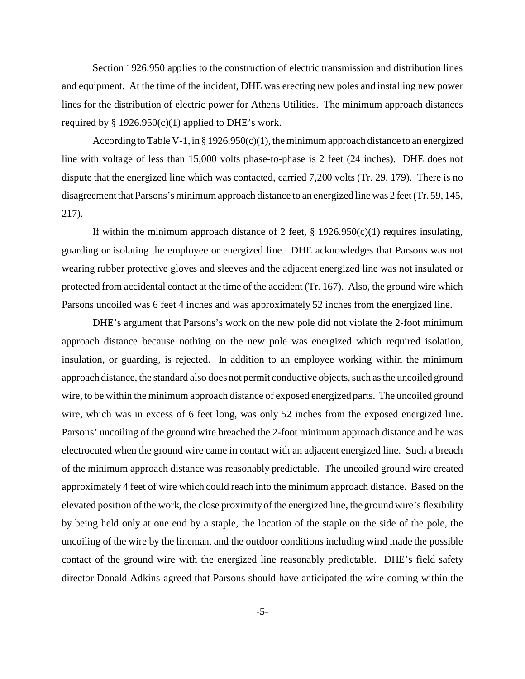Section 1926.950 applies to the construction of electric transmission and distribution lines and equipment. At the time of the incident, DHE was erecting new poles and installing new power lines for the distribution of electric power for Athens Utilities. The minimum approach distances required by  $\S 1926.950(c)(1)$  applied to DHE's work.

According to Table V-1, in § 1926.950 $(c)(1)$ , the minimum approach distance to an energized line with voltage of less than 15,000 volts phase-to-phase is 2 feet (24 inches). DHE does not dispute that the energized line which was contacted, carried 7,200 volts (Tr. 29, 179). There is no disagreement that Parsons's minimum approach distance to an energized line was 2 feet (Tr. 59, 145, 217).

If within the minimum approach distance of 2 feet,  $\S$  1926.950(c)(1) requires insulating, guarding or isolating the employee or energized line. DHE acknowledges that Parsons was not wearing rubber protective gloves and sleeves and the adjacent energized line was not insulated or protected from accidental contact at the time of the accident (Tr. 167). Also, the ground wire which Parsons uncoiled was 6 feet 4 inches and was approximately 52 inches from the energized line.

DHE's argument that Parsons's work on the new pole did not violate the 2-foot minimum approach distance because nothing on the new pole was energized which required isolation, insulation, or guarding, is rejected. In addition to an employee working within the minimum approach distance, the standard also does not permit conductive objects, such as the uncoiled ground wire, to be within the minimum approach distance of exposed energized parts. The uncoiled ground wire, which was in excess of 6 feet long, was only 52 inches from the exposed energized line. Parsons' uncoiling of the ground wire breached the 2-foot minimum approach distance and he was electrocuted when the ground wire came in contact with an adjacent energized line. Such a breach of the minimum approach distance was reasonably predictable. The uncoiled ground wire created approximately 4 feet of wire which could reach into the minimum approach distance. Based on the elevated position of the work, the close proximity of the energized line, the ground wire's flexibility by being held only at one end by a staple, the location of the staple on the side of the pole, the uncoiling of the wire by the lineman, and the outdoor conditions including wind made the possible contact of the ground wire with the energized line reasonably predictable. DHE's field safety director Donald Adkins agreed that Parsons should have anticipated the wire coming within the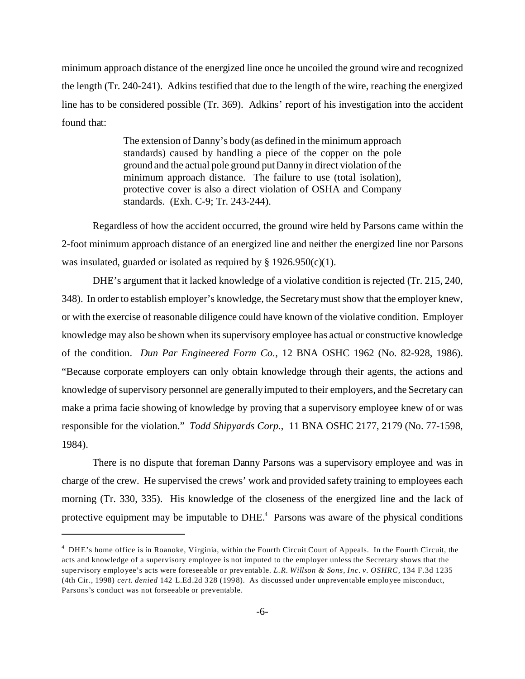minimum approach distance of the energized line once he uncoiled the ground wire and recognized the length (Tr. 240-241). Adkins testified that due to the length of the wire, reaching the energized line has to be considered possible (Tr. 369). Adkins' report of his investigation into the accident found that:

> The extension of Danny's body (as defined in the minimum approach standards) caused by handling a piece of the copper on the pole ground and the actual pole ground put Danny in direct violation of the minimum approach distance. The failure to use (total isolation), protective cover is also a direct violation of OSHA and Company standards. (Exh. C-9; Tr. 243-244).

Regardless of how the accident occurred, the ground wire held by Parsons came within the 2-foot minimum approach distance of an energized line and neither the energized line nor Parsons was insulated, guarded or isolated as required by § 1926.950(c)(1).

DHE's argument that it lacked knowledge of a violative condition is rejected (Tr. 215, 240, 348). In order to establish employer's knowledge, the Secretary must show that the employer knew, or with the exercise of reasonable diligence could have known of the violative condition. Employer knowledge may also be shown when its supervisory employee has actual or constructive knowledge of the condition. *Dun Par Engineered Form Co.*, 12 BNA OSHC 1962 (No. 82-928, 1986). "Because corporate employers can only obtain knowledge through their agents, the actions and knowledge of supervisory personnel are generally imputed to their employers, and the Secretary can make a prima facie showing of knowledge by proving that a supervisory employee knew of or was responsible for the violation." *Todd Shipyards Corp.*, 11 BNA OSHC 2177, 2179 (No. 77-1598, 1984).

There is no dispute that foreman Danny Parsons was a supervisory employee and was in charge of the crew. He supervised the crews' work and provided safety training to employees each morning (Tr. 330, 335). His knowledge of the closeness of the energized line and the lack of protective equipment may be imputable to DHE.<sup>4</sup> Parsons was aware of the physical conditions

<sup>&</sup>lt;sup>4</sup> DHE's home office is in Roanoke, Virginia, within the Fourth Circuit Court of Appeals. In the Fourth Circuit, the acts and knowledge of a supervisory employee is not imputed to the employer unless the Secretary shows that the supervisory employee's acts were foreseeable or preventable. *L.R. Willson & Sons, Inc. v. OSHRC,* 134 F.3d 1235 (4th Cir., 1998) *cert. denied* 142 L.Ed.2d 328 (1998). As discussed under unpreventable employee misconduct, Parsons's conduct was not forseeable or preventable.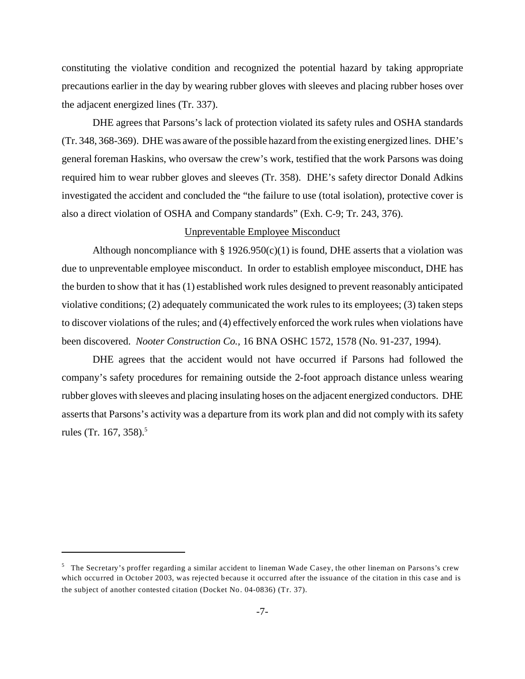constituting the violative condition and recognized the potential hazard by taking appropriate precautions earlier in the day by wearing rubber gloves with sleeves and placing rubber hoses over the adjacent energized lines (Tr. 337).

DHE agrees that Parsons's lack of protection violated its safety rules and OSHA standards (Tr. 348, 368-369). DHE was aware of the possible hazard from the existing energized lines. DHE's general foreman Haskins, who oversaw the crew's work, testified that the work Parsons was doing required him to wear rubber gloves and sleeves (Tr. 358). DHE's safety director Donald Adkins investigated the accident and concluded the "the failure to use (total isolation), protective cover is also a direct violation of OSHA and Company standards" (Exh. C-9; Tr. 243, 376).

## Unpreventable Employee Misconduct

Although noncompliance with  $\S 1926.950(c)(1)$  is found, DHE asserts that a violation was due to unpreventable employee misconduct. In order to establish employee misconduct, DHE has the burden to show that it has (1) established work rules designed to prevent reasonably anticipated violative conditions; (2) adequately communicated the work rules to its employees; (3) taken steps to discover violations of the rules; and (4) effectively enforced the work rules when violations have been discovered. *Nooter Construction Co.,* 16 BNA OSHC 1572, 1578 (No. 91-237, 1994).

DHE agrees that the accident would not have occurred if Parsons had followed the company's safety procedures for remaining outside the 2-foot approach distance unless wearing rubber gloves with sleeves and placing insulating hoses on the adjacent energized conductors. DHE asserts that Parsons's activity was a departure from its work plan and did not comply with its safety rules (Tr. 167, 358).<sup>5</sup>

<sup>&</sup>lt;sup>5</sup> The Secretary's proffer regarding a similar accident to lineman Wade Casey, the other lineman on Parsons's crew which occurred in October 2003, was rejected because it occurred after the issuance of the citation in this case and is the subject of another contested citation (Docket No. 04-0836) (Tr. 37).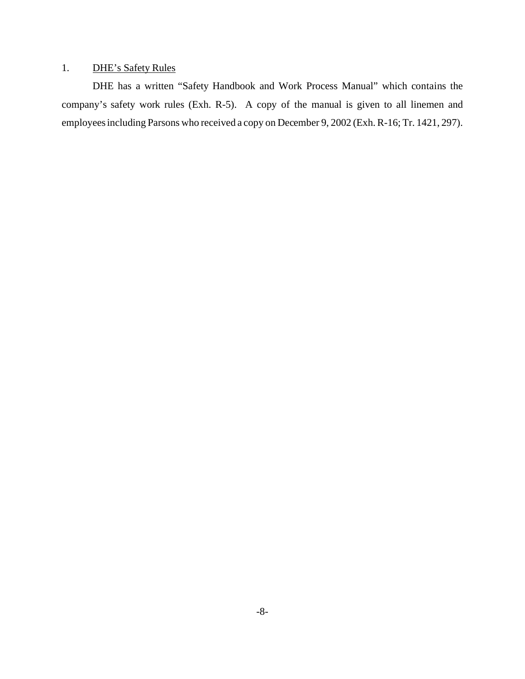# 1. DHE's Safety Rules

DHE has a written "Safety Handbook and Work Process Manual" which contains the company's safety work rules (Exh. R-5). A copy of the manual is given to all linemen and employees including Parsons who received a copy on December 9, 2002 (Exh. R-16; Tr. 1421, 297).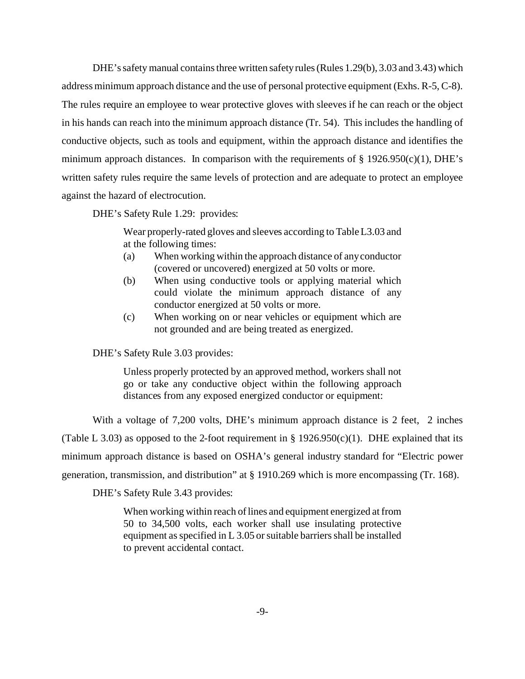DHE's safety manual contains three written safety rules (Rules 1.29(b), 3.03 and 3.43) which address minimum approach distance and the use of personal protective equipment (Exhs. R-5, C-8). The rules require an employee to wear protective gloves with sleeves if he can reach or the object in his hands can reach into the minimum approach distance (Tr. 54). This includes the handling of conductive objects, such as tools and equipment, within the approach distance and identifies the minimum approach distances. In comparison with the requirements of  $\S$  1926.950(c)(1), DHE's written safety rules require the same levels of protection and are adequate to protect an employee against the hazard of electrocution.

DHE's Safety Rule 1.29: provides:

Wear properly-rated gloves and sleeves according to Table L3.03 and at the following times:

- (a) When working within the approach distance of any conductor (covered or uncovered) energized at 50 volts or more.
- (b) When using conductive tools or applying material which could violate the minimum approach distance of any conductor energized at 50 volts or more.
- (c) When working on or near vehicles or equipment which are not grounded and are being treated as energized.

DHE's Safety Rule 3.03 provides:

Unless properly protected by an approved method, workers shall not go or take any conductive object within the following approach distances from any exposed energized conductor or equipment:

With a voltage of 7,200 volts, DHE's minimum approach distance is 2 feet, 2 inches (Table L 3.03) as opposed to the 2-foot requirement in §  $1926.950(c)(1)$ . DHE explained that its minimum approach distance is based on OSHA's general industry standard for "Electric power generation, transmission, and distribution" at § 1910.269 which is more encompassing (Tr. 168).

DHE's Safety Rule 3.43 provides:

When working within reach of lines and equipment energized at from 50 to 34,500 volts, each worker shall use insulating protective equipment as specified in L 3.05 or suitable barriers shall be installed to prevent accidental contact.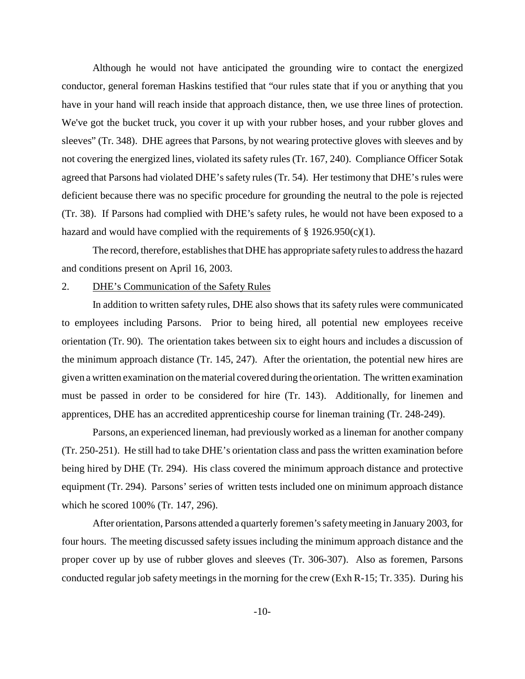Although he would not have anticipated the grounding wire to contact the energized conductor, general foreman Haskins testified that "our rules state that if you or anything that you have in your hand will reach inside that approach distance, then, we use three lines of protection. We've got the bucket truck, you cover it up with your rubber hoses, and your rubber gloves and sleeves" (Tr. 348). DHE agrees that Parsons, by not wearing protective gloves with sleeves and by not covering the energized lines, violated its safety rules (Tr. 167, 240). Compliance Officer Sotak agreed that Parsons had violated DHE's safety rules (Tr. 54). Her testimony that DHE's rules were deficient because there was no specific procedure for grounding the neutral to the pole is rejected (Tr. 38). If Parsons had complied with DHE's safety rules, he would not have been exposed to a hazard and would have complied with the requirements of  $\S 1926.950(c)(1)$ .

The record, therefore, establishes that DHE has appropriate safety rules to address the hazard and conditions present on April 16, 2003.

#### 2. DHE's Communication of the Safety Rules

In addition to written safety rules, DHE also shows that its safety rules were communicated to employees including Parsons. Prior to being hired, all potential new employees receive orientation (Tr. 90). The orientation takes between six to eight hours and includes a discussion of the minimum approach distance (Tr. 145, 247). After the orientation, the potential new hires are given a written examination on the material covered during the orientation. The written examination must be passed in order to be considered for hire (Tr. 143). Additionally, for linemen and apprentices, DHE has an accredited apprenticeship course for lineman training (Tr. 248-249).

Parsons, an experienced lineman, had previously worked as a lineman for another company (Tr. 250-251). He still had to take DHE's orientation class and pass the written examination before being hired by DHE (Tr. 294). His class covered the minimum approach distance and protective equipment (Tr. 294). Parsons' series of written tests included one on minimum approach distance which he scored 100% (Tr. 147, 296).

After orientation, Parsons attended a quarterly foremen's safety meeting in January 2003, for four hours. The meeting discussed safety issues including the minimum approach distance and the proper cover up by use of rubber gloves and sleeves (Tr. 306-307). Also as foremen, Parsons conducted regular job safety meetings in the morning for the crew (Exh R-15; Tr. 335). During his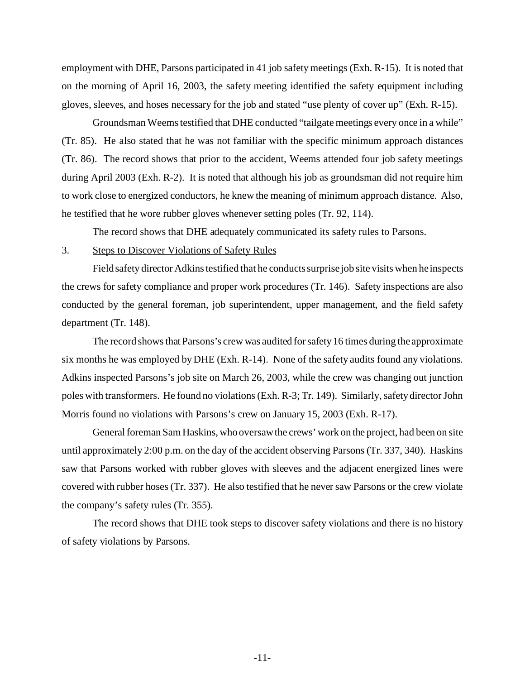employment with DHE, Parsons participated in 41 job safety meetings (Exh. R-15). It is noted that on the morning of April 16, 2003, the safety meeting identified the safety equipment including gloves, sleeves, and hoses necessary for the job and stated "use plenty of cover up" (Exh. R-15).

Groundsman Weems testified that DHE conducted "tailgate meetings every once in a while" (Tr. 85). He also stated that he was not familiar with the specific minimum approach distances (Tr. 86). The record shows that prior to the accident, Weems attended four job safety meetings during April 2003 (Exh. R-2). It is noted that although his job as groundsman did not require him to work close to energized conductors, he knew the meaning of minimum approach distance. Also, he testified that he wore rubber gloves whenever setting poles (Tr. 92, 114).

The record shows that DHE adequately communicated its safety rules to Parsons.

## 3. Steps to Discover Violations of Safety Rules

Field safety director Adkins testified that he conducts surprise job site visits when he inspects the crews for safety compliance and proper work procedures (Tr. 146). Safety inspections are also conducted by the general foreman, job superintendent, upper management, and the field safety department (Tr. 148).

The record shows that Parsons's crew was audited for safety 16 times during the approximate six months he was employed by DHE (Exh. R-14). None of the safety audits found any violations. Adkins inspected Parsons's job site on March 26, 2003, while the crew was changing out junction poles with transformers. He found no violations (Exh. R-3; Tr. 149). Similarly, safety director John Morris found no violations with Parsons's crew on January 15, 2003 (Exh. R-17).

General foreman Sam Haskins, who oversaw the crews' work on the project, had been on site until approximately 2:00 p.m. on the day of the accident observing Parsons (Tr. 337, 340). Haskins saw that Parsons worked with rubber gloves with sleeves and the adjacent energized lines were covered with rubber hoses (Tr. 337). He also testified that he never saw Parsons or the crew violate the company's safety rules (Tr. 355).

The record shows that DHE took steps to discover safety violations and there is no history of safety violations by Parsons.